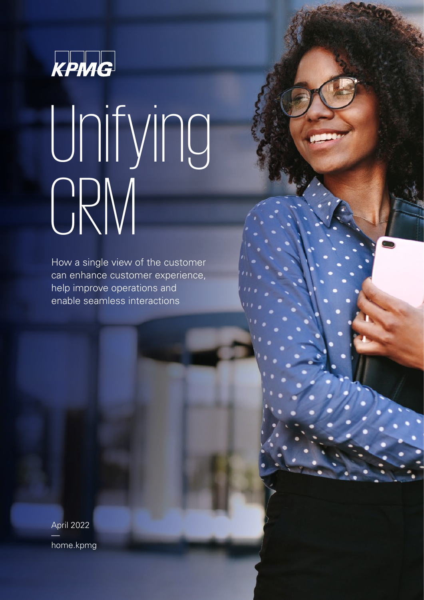

# Unifying CRM

How a single view of the customer can enhance customer experience, help improve operations and enable seamless interactions

April 2022 [home.kpmg](https://home.kpmg/xx/en/home.html)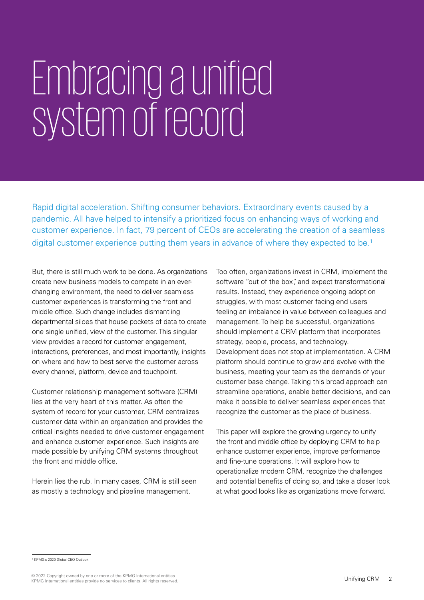# Embracing aunified system of record

Rapid digital acceleration. Shifting consumer behaviors. Extraordinary events caused by a pandemic. All have helped to intensify a prioritized focus on enhancing ways of working and customer experience. In fact, 79 percent of CEOs are accelerating the creation of a seamless digital customer experience putting them years in advance of where they expected to be.<sup>1</sup>

But, there is still much work to be done. As organizations create new business models to compete in an everchanging environment, the need to deliver seamless customer experiences is transforming the front and middle office. Such change includes dismantling departmental siloes that house pockets of data to create one single unified, view of the customer. This singular view provides a record for customer engagement, interactions, preferences, and most importantly, insights on where and how to best serve the customer across every channel, platform, device and touchpoint.

Customer relationship management software (CRM) lies at the very heart of this matter. As often the system of record for your customer, CRM centralizes customer data within an organization and provides the critical insights needed to drive customer engagement and enhance customer experience. Such insights are made possible by unifying CRM systems throughout the front and middle office.

Herein lies the rub. In many cases, CRM is still seen as mostly a technology and pipeline management.

Too often, organizations invest in CRM, implement the software "out of the box", and expect transformational results. Instead, they experience ongoing adoption struggles, with most customer facing end users feeling an imbalance in value between colleagues and management. To help be successful, organizations should implement a CRM platform that incorporates strategy, people, process, and technology. Development does not stop at implementation. A CRM platform should continue to grow and evolve with the business, meeting your team as the demands of your customer base change. Taking this broad approach can streamline operations, enable better decisions, and can make it possible to deliver seamless experiences that recognize the customer as the place of business.

This paper will explore the growing urgency to unify the front and middle office by deploying CRM to help enhance customer experience, improve performance and fine-tune operations. It will explore how to operationalize modern CRM, recognize the challenges and potential benefits of doing so, and take a closer look at what good looks like as organizations move forward.

<sup>&</sup>lt;sup>1</sup> KPMG's 2020 Global CEO Outlook.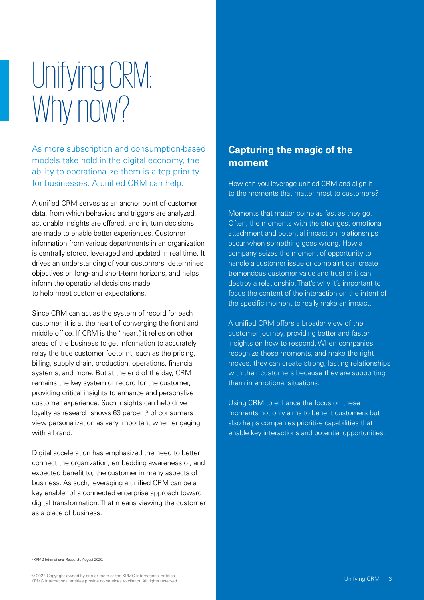## Unifying CRM: Why now?

As more subscription and consumption-based models take hold in the digital economy, the ability to operationalize them is a top priority for businesses. A unified CRM can help.

A unified CRM serves as an anchor point of customer data, from which behaviors and triggers are analyzed, actionable insights are offered, and in, turn decisions are made to enable better experiences. Customer information from various departments in an organization is centrally stored, leveraged and updated in real time. It drives an understanding of your customers, determines objectives on long- and short-term horizons, and helps inform the operational decisions made to help meet customer expectations.

Since CRM can act as the system of record for each customer, it is at the heart of converging the front and middle office. If CRM is the "heart" it relies on other areas of the business to get information to accurately relay the true customer footprint, such as the pricing, billing, supply chain, production, operations, financial systems, and more. But at the end of the day, CRM remains the key system of record for the customer, providing critical insights to enhance and personalize customer experience. Such insights can help drive loyalty as research shows  $63$  percent<sup>2</sup> of consumers view personalization as very important when engaging with a brand.

Digital acceleration has emphasized the need to better connect the organization, embedding awareness of, and expected benefit to, the customer in many aspects of business. As such, leveraging a unified CRM can be a key enabler of a connected enterprise approach toward digital transformation. That means viewing the customer as a place of business.

### **Capturing the magic of the moment**

How can you leverage unified CRM and align it to the moments that matter most to customers?

Moments that matter come as fast as they go. Often, the moments with the strongest emotional attachment and potential impact on relationships occur when something goes wrong. How a company seizes the moment of opportunity to handle a customer issue or complaint can create tremendous customer value and trust or it can destroy a relationship. That's why it's important to focus the content of the interaction on the intent of the specific moment to really make an impact.

A unified CRM offers a broader view of the customer journey, providing better and faster insights on how to respond. When companies recognize these moments, and make the right moves, they can create strong, lasting relationships with their customers because they are supporting them in emotional situations.

Using CRM to enhance the focus on these moments not only aims to benefit customers but also helps companies prioritize capabilities that enable key interactions and potential opportunities.

2 KPMG International Research, August 2020.

© 2022 Copyright owned by one or more of the KPMG International entities. KPMG International entities provide no services to clients. All rights reserved.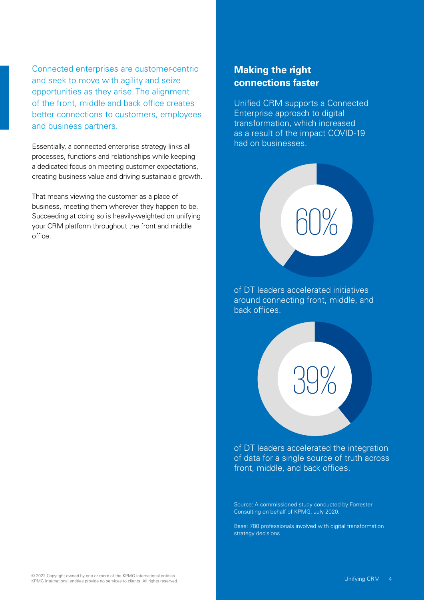Connected enterprises are customer-centric and seek to move with agility and seize opportunities as they arise. The alignment of the front, middle and back office creates better connections to customers, employees and business partners.

Essentially, a connected enterprise strategy links all processes, functions and relationships while keeping a dedicated focus on meeting customer expectations, creating business value and driving sustainable growth.

That means viewing the customer as a place of business, meeting them wherever they happen to be. Succeeding at doing so is heavily-weighted on unifying your CRM platform throughout the front and middle office.

### **Making the right connections faster**

Unified CRM supports a Connected Enterprise approach to digital transformation, which increased as a result of the impact COVID-19 had on businesses.

of DT leaders accelerated initiatives around connecting front, middle, and back offices.

60%

of DT leaders accelerated the integration of data for a single source of truth across front, middle, and back offices.

39%

Source: A commissioned study conducted by Forrester Consulting on behalf of KPMG, July 2020.

Base: 780 professionals involved with digital transformation strategy decisions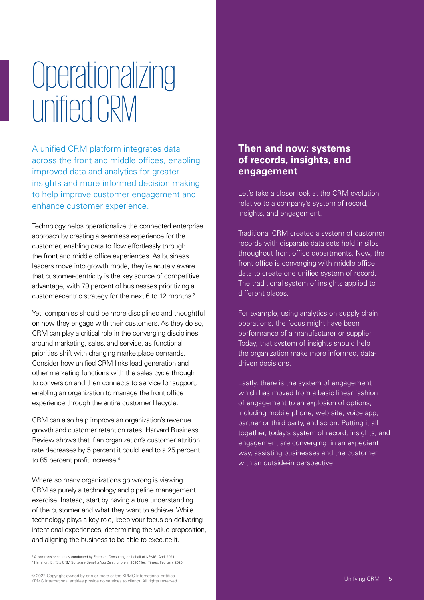### **Operationalizing** unifiedCRM

A unified CRM platform integrates data across the front and middle offices, enabling improved data and analytics for greater insights and more informed decision making to help improve customer engagement and enhance customer experience.

Technology helps operationalize the connected enterprise approach by creating a seamless experience for the customer, enabling data to flow effortlessly through the front and middle office experiences. As business leaders move into growth mode, they're acutely aware that customer-centricity is the key source of competitive advantage, with 79 percent of businesses prioritizing a customer-centric strategy for the next 6 to 12 months.3

Yet, companies should be more disciplined and thoughtful on how they engage with their customers. As they do so, CRM can play a critical role in the converging disciplines around marketing, sales, and service, as functional priorities shift with changing marketplace demands. Consider how unified CRM links lead generation and other marketing functions with the sales cycle through to conversion and then connects to service for support, enabling an organization to manage the front office experience through the entire customer lifecycle.

CRM can also help improve an organization's revenue growth and customer retention rates. Harvard Business Review shows that if an organization's customer attrition rate decreases by 5 percent it could lead to a 25 percent to 85 percent profit increase.<sup>4</sup>

Where so many organizations go wrong is viewing CRM as purely a technology and pipeline management exercise. Instead, start by having a true understanding of the customer and what they want to achieve. While technology plays a key role, keep your focus on delivering intentional experiences, determining the value proposition, and aligning the business to be able to execute it.

#### **Then and now: systems of records, insights, and engagement**

Let's take a closer look at the CRM evolution relative to a company's system of record, insights, and engagement.

Traditional CRM created a system of customer records with disparate data sets held in silos throughout front office departments. Now, the front office is converging with middle office data to create one unified system of record. The traditional system of insights applied to different places.

For example, using analytics on supply chain operations, the focus might have been performance of a manufacturer or supplier. Today, that system of insights should help the organization make more informed, datadriven decisions.

Lastly, there is the system of engagement which has moved from a basic linear fashion of engagement to an explosion of options, including mobile phone, web site, voice app, partner or third party, and so on. Putting it all together, today's system of record, insights, and engagement are converging in an expedient way, assisting businesses and the customer with an outside-in perspective.

<sup>&</sup>lt;sup>3</sup> A commissioned study conducted by Forrester Consulting on behalf of KPMG, April 2021. 4 Hamilton, E. "Six CRM Software Benefits You Can't Ignore in 2020", Tech Times, February 2020.

<sup>© 2022</sup> Copyright owned by one or more of the KPMG International entities. KPMG International entities provide no services to clients. All rights reserved.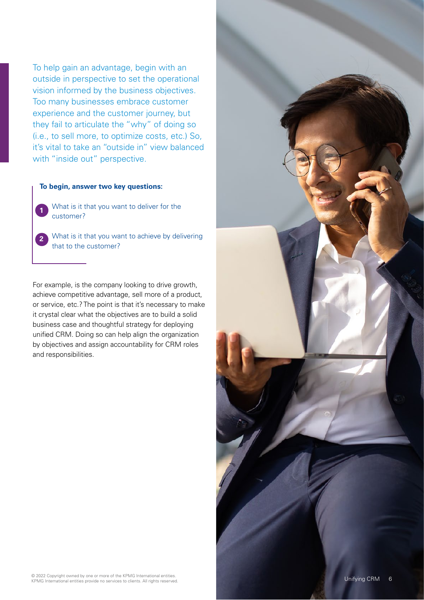To help gain an advantage, begin with an outside in perspective to set the operational vision informed by the business objectives. Too many businesses embrace customer experience and the customer journey, but they fail to articulate the "why" of doing so (i.e., to sell more, to optimize costs, etc.) So, it's vital to take an "outside in" view balanced with "inside out" perspective.

#### **To begin, answer two key questions:**

**1**

**2**

What is it that you want to deliver for the customer?

What is it that you want to achieve by delivering that to the customer?

For example, is the company looking to drive growth, achieve competitive advantage, sell more of a product, or service, etc.? The point is that it's necessary to make it crystal clear what the objectives are to build a solid business case and thoughtful strategy for deploying unified CRM. Doing so can help align the organization by objectives and assign accountability for CRM roles and responsibilities.

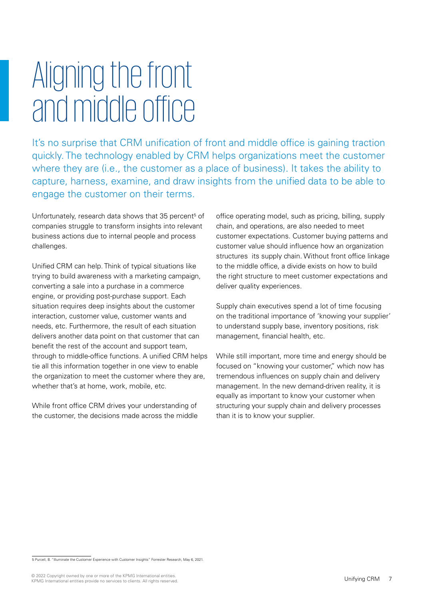### Aligning the front and middle office

It's no surprise that CRM unification of front and middle office is gaining traction quickly. The technology enabled by CRM helps organizations meet the customer where they are (i.e., the customer as a place of business). It takes the ability to capture, harness, examine, and draw insights from the unified data to be able to engage the customer on their terms.

Unfortunately, research data shows that 35 percent<sup>5</sup> of companies struggle to transform insights into relevant business actions due to internal people and process challenges.

Unified CRM can help. Think of typical situations like trying to build awareness with a marketing campaign, converting a sale into a purchase in a commerce engine, or providing post-purchase support. Each situation requires deep insights about the customer interaction, customer value, customer wants and needs, etc. Furthermore, the result of each situation delivers another data point on that customer that can benefit the rest of the account and support team, through to middle-office functions. A unified CRM helps tie all this information together in one view to enable the organization to meet the customer where they are, whether that's at home, work, mobile, etc.

While front office CRM drives your understanding of the customer, the decisions made across the middle office operating model, such as pricing, billing, supply chain, and operations, are also needed to meet customer expectations. Customer buying patterns and customer value should influence how an organization structures its supply chain. Without front office linkage to the middle office, a divide exists on how to build the right structure to meet customer expectations and deliver quality experiences.

Supply chain executives spend a lot of time focusing on the traditional importance of 'knowing your supplier' to understand supply base, inventory positions, risk management, financial health, etc.

While still important, more time and energy should be focused on "knowing your customer," which now has tremendous influences on supply chain and delivery management. In the new demand-driven reality, it is equally as important to know your customer when structuring your supply chain and delivery processes than it is to know your supplier.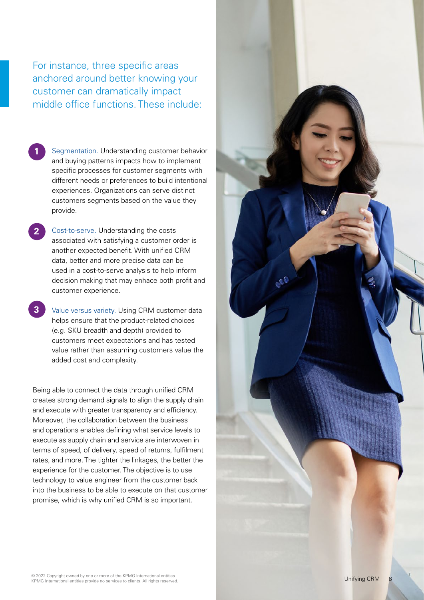For instance, three specific areas anchored around better knowing your customer can dramatically impact middle office functions. These include:

Segmentation. Understanding customer behavior and buying patterns impacts how to implement specific processes for customer segments with different needs or preferences to build intentional experiences. Organizations can serve distinct customers segments based on the value they provide.

Cost-to-serve. Understanding the costs associated with satisfying a customer order is another expected benefit. With unified CRM data, better and more precise data can be used in a cost-to-serve analysis to help inform decision making that may enhace both profit and customer experience. Value versus variety. Using CRM customer data

helps ensure that the product-related choices (e.g. SKU breadth and depth) provided to customers meet expectations and has tested value rather than assuming customers value the added cost and complexity.

Being able to connect the data through unified CRM creates strong demand signals to align the supply chain and execute with greater transparency and efficiency. Moreover, the collaboration between the business and operations enables defining what service levels to execute as supply chain and service are interwoven in terms of speed, of delivery, speed of returns, fulfilment rates, and more. The tighter the linkages, the better the experience for the customer. The objective is to use technology to value engineer from the customer back into the business to be able to execute on that customer **1** Segmentation. Understanding customer beh<br>
and buying paterns impacts how to implements v<br>
different needs or preferences to build intent<br>
experiences. Organizations can serve distinc<br>
customers segments based on the va

8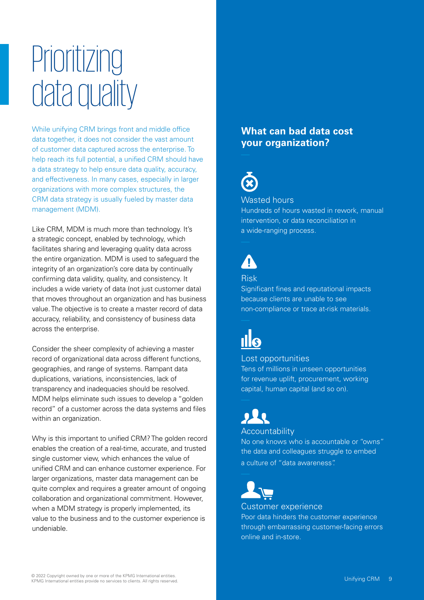### Prioritizing data quality

While unifying CRM brings front and middle office data together, it does not consider the vast amount of customer data captured across the enterprise. To help reach its full potential, a unified CRM should have a data strategy to help ensure data quality, accuracy, and effectiveness. In many cases, especially in larger organizations with more complex structures, the CRM data strategy is usually fueled by master data management (MDM).

Like CRM, MDM is much more than technology. It's a strategic concept, enabled by technology, which facilitates sharing and leveraging quality data across the entire organization. MDM is used to safeguard the integrity of an organization's core data by continually confirming data validity, quality, and consistency. It includes a wide variety of data (not just customer data) that moves throughout an organization and has business value. The objective is to create a master record of data accuracy, reliability, and consistency of business data across the enterprise.

Consider the sheer complexity of achieving a master record of organizational data across different functions, geographies, and range of systems. Rampant data duplications, variations, inconsistencies, lack of transparency and inadequacies should be resolved. MDM helps eliminate such issues to develop a "golden record" of a customer across the data systems and files within an organization.

Why is this important to unified CRM? The golden record enables the creation of a real-time, accurate, and trusted single customer view, which enhances the value of unified CRM and can enhance customer experience. For larger organizations, master data management can be quite complex and requires a greater amount of ongoing collaboration and organizational commitment. However, when a MDM strategy is properly implemented, its value to the business and to the customer experience is undeniable.

#### **What can bad data cost your organization?**



#### Wasted hours

Hundreds of hours wasted in rework, manual intervention, or data reconciliation in a wide-ranging process.

#### Risk

Significant fines and reputational impacts because clients are unable to see non-compliance or trace at-risk materials.

#### Lost opportunities

Tens of millions in unseen opportunities for revenue uplift, procurement, working capital, human capital (and so on).

### **Accountability**

No one knows who is accountable or "owns" the data and colleagues struggle to embed a culture of "data awareness".

Customer experience Poor data hinders the customer experience through embarrassing customer-facing errors online and in-store.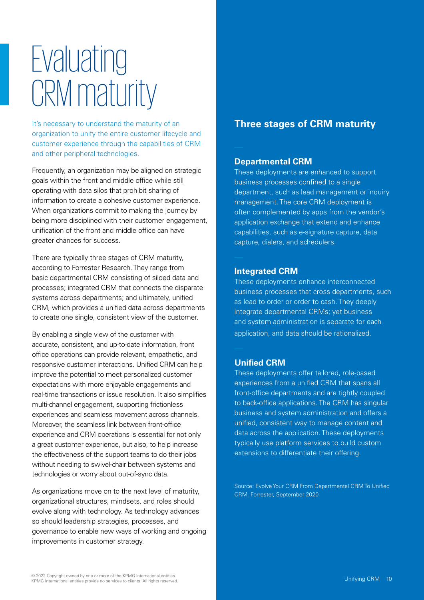### **Evaluating** CRM maturity

It's necessary to understand the maturity of an organization to unify the entire customer lifecycle and customer experience through the capabilities of CRM and other peripheral technologies.

Frequently, an organization may be aligned on strategic goals within the front and middle office while still operating with data silos that prohibit sharing of information to create a cohesive customer experience. When organizations commit to making the journey by being more disciplined with their customer engagement, unification of the front and middle office can have greater chances for success.

There are typically three stages of CRM maturity, according to Forrester Research. They range from basic departmental CRM consisting of siloed data and processes; integrated CRM that connects the disparate systems across departments; and ultimately, unified CRM, which provides a unified data across departments to create one single, consistent view of the customer.

By enabling a single view of the customer with accurate, consistent, and up-to-date information, front office operations can provide relevant, empathetic, and responsive customer interactions. Unified CRM can help improve the potential to meet personalized customer expectations with more enjoyable engagements and real-time transactions or issue resolution. It also simplifies multi-channel engagement, supporting frictionless experiences and seamless movement across channels. Moreover, the seamless link between front-office experience and CRM operations is essential for not only a great customer experience, but also, to help increase the effectiveness of the support teams to do their jobs without needing to swivel-chair between systems and technologies or worry about out-of-sync data.

As organizations move on to the next level of maturity, organizational structures, mindsets, and roles should evolve along with technology. As technology advances so should leadership strategies, processes, and governance to enable new ways of working and ongoing improvements in customer strategy.

### **Three stages of CRM maturity**

#### **Departmental CRM**

These deployments are enhanced to support business processes confined to a single department, such as lead management or inquiry management. The core CRM deployment is often complemented by apps from the vendor's application exchange that extend and enhance capabilities, such as e-signature capture, data capture, dialers, and schedulers.

#### **Integrated CRM**

These deployments enhance interconnected business processes that cross departments, such as lead to order or order to cash. They deeply integrate departmental CRMs; yet business and system administration is separate for each application, and data should be rationalized.

#### **Unified CRM**

These deployments offer tailored, role-based experiences from a unified CRM that spans all front-office departments and are tightly coupled to back-office applications. The CRM has singular business and system administration and offers a unified, consistent way to manage content and data across the application. These deployments typically use platform services to build custom extensions to differentiate their offering.

Source: Evolve Your CRM From Departmental CRM To Unified CRM, Forrester, September 2020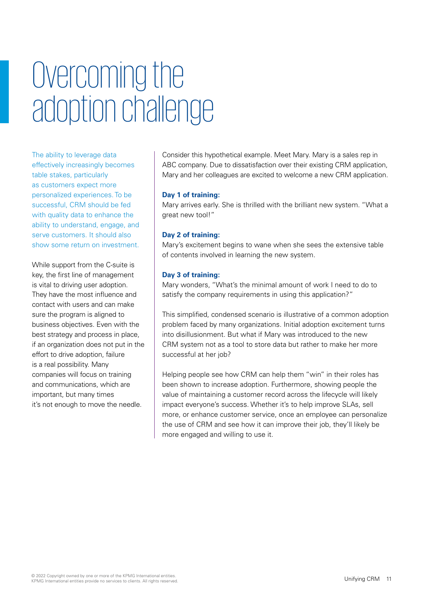## Overcoming the adoption challenge

The ability to leverage data effectively increasingly becomes table stakes, particularly as customers expect more personalized experiences. To be successful, CRM should be fed with quality data to enhance the ability to understand, engage, and serve customers. It should also show some return on investment.

While support from the C-suite is key, the first line of management is vital to driving user adoption. They have the most influence and contact with users and can make sure the program is aligned to business objectives. Even with the best strategy and process in place, if an organization does not put in the effort to drive adoption, failure is a real possibility. Many companies will focus on training and communications, which are important, but many times it's not enough to move the needle.

Consider this hypothetical example. Meet Mary. Mary is a sales rep in ABC company. Due to dissatisfaction over their existing CRM application, Mary and her colleagues are excited to welcome a new CRM application.

#### **Day 1 of training:**

Mary arrives early. She is thrilled with the brilliant new system. "What a great new tool!"

#### **Day 2 of training:**

Mary's excitement begins to wane when she sees the extensive table of contents involved in learning the new system.

#### **Day 3 of training:**

Mary wonders, "What's the minimal amount of work I need to do to satisfy the company requirements in using this application?"

This simplified, condensed scenario is illustrative of a common adoption problem faced by many organizations. Initial adoption excitement turns into disillusionment. But what if Mary was introduced to the new CRM system not as a tool to store data but rather to make her more successful at her job?

Helping people see how CRM can help them "win" in their roles has been shown to increase adoption. Furthermore, showing people the value of maintaining a customer record across the lifecycle will likely impact everyone's success. Whether it's to help improve SLAs, sell more, or enhance customer service, once an employee can personalize the use of CRM and see how it can improve their job, they'll likely be more engaged and willing to use it.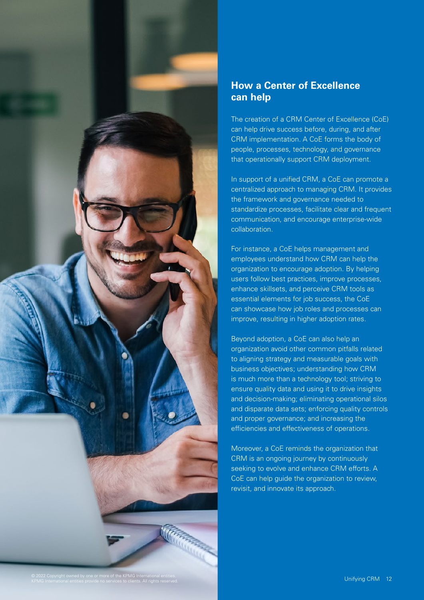

#### **How a Center of Excellence can help**

The creation of a CRM Center of Excellence (CoE) can help drive success before, during, and after CRM implementation. A CoE forms the body of people, processes, technology, and governance that operationally support CRM deployment.

In support of a unified CRM, a CoE can promote a centralized approach to managing CRM. It provides the framework and governance needed to standardize processes, facilitate clear and frequent communication, and encourage enterprise-wide collaboration.

For instance, a CoE helps management and employees understand how CRM can help the organization to encourage adoption. By helping users follow best practices, improve processes, enhance skillsets, and perceive CRM tools as essential elements for job success, the CoE can showcase how job roles and processes can improve, resulting in higher adoption rates.

Beyond adoption, a CoE can also help an organization avoid other common pitfalls related to aligning strategy and measurable goals with business objectives; understanding how CRM is much more than a technology tool; striving to ensure quality data and using it to drive insights and decision-making; eliminating operational silos and disparate data sets; enforcing quality controls and proper governance; and increasing the efficiencies and effectiveness of operations.

Moreover, a CoE reminds the organization that CRM is an ongoing journey by continuously seeking to evolve and enhance CRM efforts. A CoE can help guide the organization to review, revisit, and innovate its approach.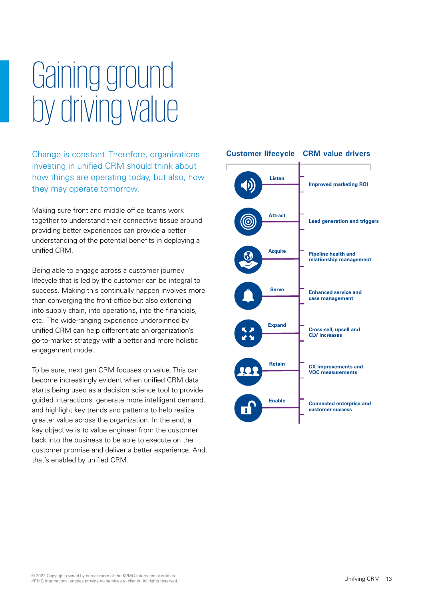## Gaining ground by driving value

Change is constant. Therefore, organizations investing in unified CRM should think about how things are operating today, but also, how they may operate tomorrow.

Making sure front and middle office teams work together to understand their connective tissue around providing better experiences can provide a better understanding of the potential benefits in deploying a unified CRM.

Being able to engage across a customer journey lifecycle that is led by the customer can be integral to success. Making this continually happen involves more than converging the front-office but also extending into supply chain, into operations, into the financials, etc. The wide-ranging experience underpinned by unified CRM can help differentiate an organization's go-to-market strategy with a better and more holistic engagement model.

To be sure, next gen CRM focuses on value. This can become increasingly evident when unified CRM data starts being used as a decision science tool to provide guided interactions, generate more intelligent demand, and highlight key trends and patterns to help realize greater value across the organization. In the end, a key objective is to value engineer from the customer back into the business to be able to execute on the customer promise and deliver a better experience. And, that's enabled by unified CRM.

#### **Customer lifecycle CRM value drivers**

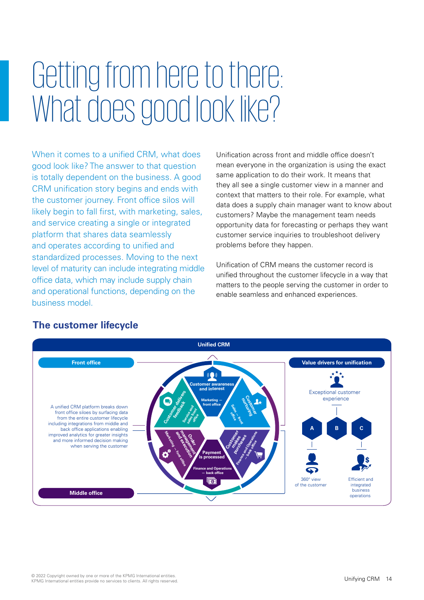## Getting from here to there: What does good look like?

When it comes to a unified CRM, what does good look like? The answer to that question is totally dependent on the business. A good CRM unification story begins and ends with the customer journey. Front office silos will likely begin to fall first, with marketing, sales, and service creating a single or integrated platform that shares data seamlessly and operates according to unified and standardized processes. Moving to the next level of maturity can include integrating middle office data, which may include supply chain and operational functions, depending on the business model.

Unification across front and middle office doesn't mean everyone in the organization is using the exact same application to do their work. It means that they all see a single customer view in a manner and context that matters to their role. For example, what data does a supply chain manager want to know about customers? Maybe the management team needs opportunity data for forecasting or perhaps they want customer service inquiries to troubleshoot delivery problems before they happen.

Unification of CRM means the customer record is unified throughout the customer lifecycle in a way that matters to the people serving the customer in order to enable seamless and enhanced experiences.



### **The customer lifecycle**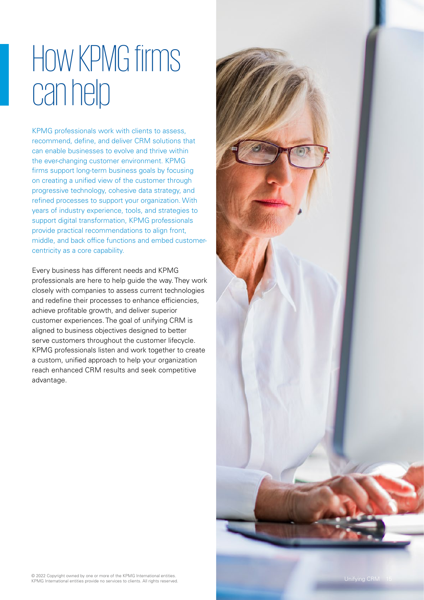### How KPMG firms can help

KPMG professionals work with clients to assess, recommend, define, and deliver CRM solutions that can enable businesses to evolve and thrive within the ever-changing customer environment. KPMG firms support long-term business goals by focusing on creating a unified view of the customer through progressive technology, cohesive data strategy, and refined processes to support your organization. With years of industry experience, tools, and strategies to support digital transformation, KPMG professionals provide practical recommendations to align front, middle, and back office functions and embed customercentricity as a core capability.

Every business has different needs and KPMG professionals are here to help guide the way. They work closely with companies to assess current technologies and redefine their processes to enhance efficiencies, achieve profitable growth, and deliver superior customer experiences. The goal of unifying CRM is aligned to business objectives designed to better serve customers throughout the customer lifecycle. KPMG professionals listen and work together to create a custom, unified approach to help your organization reach enhanced CRM results and seek competitive advantage.

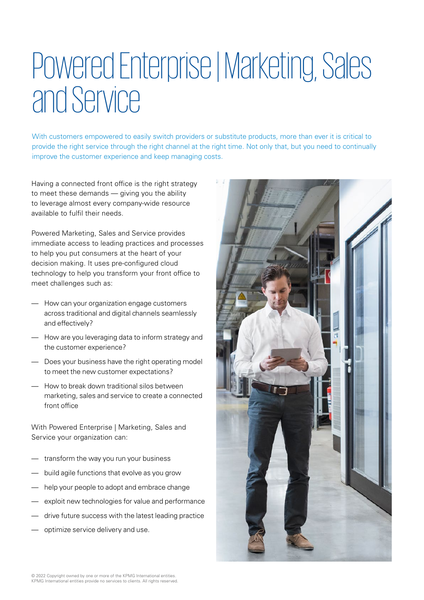### Powered Enterprise| Marketing, Sales and Service

With customers empowered to easily switch providers or substitute products, more than ever it is critical to provide the right service through the right channel at the right time. Not only that, but you need to continually improve the customer experience and keep managing costs.

Having a connected front office is the right strategy to meet these demands — giving you the ability to leverage almost every company-wide resource available to fulfil their needs.

Powered Marketing, Sales and Service provides immediate access to leading practices and processes to help you put consumers at the heart of your decision making. It uses pre-configured cloud technology to help you transform your front office to meet challenges such as:

- How can your organization engage customers across traditional and digital channels seamlessly and effectively?
- How are you leveraging data to inform strategy and the customer experience?
- Does your business have the right operating model to meet the new customer expectations?
- How to break down traditional silos between marketing, sales and service to create a connected front office

With Powered Enterprise | Marketing, Sales and Service your organization can:

- transform the way you run your business
- build agile functions that evolve as you grow
- help your people to adopt and embrace change
- exploit new technologies for value and performance
- drive future success with the latest leading practice
- optimize service delivery and use.